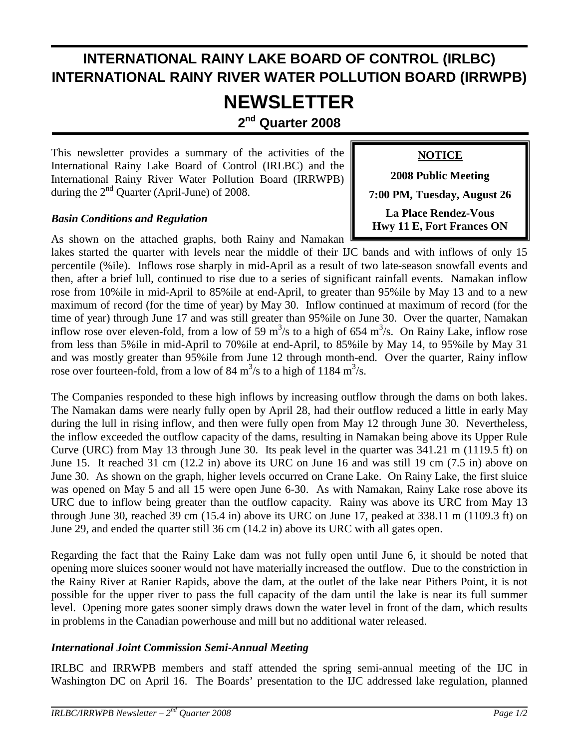## **INTERNATIONAL RAINY LAKE BOARD OF CONTROL (IRLBC) INTERNATIONAL RAINY RIVER WATER POLLUTION BOARD (IRRWPB)**

# **NEWSLETTER**

**2nd Quarter 2008**

This newsletter provides a summary of the activities of the International Rainy Lake Board of Control (IRLBC) and the International Rainy River Water Pollution Board (IRRWPB) during the  $2<sup>nd</sup>$  Quarter (April-June) of 2008.

#### *Basin Conditions and Regulation*

As shown on the attached graphs, both Rainy and Namakan

**NOTICE** 

**2008 Public Meeting 7:00 PM, Tuesday, August 26 La Place Rendez-Vous Hwy 11 E, Fort Frances ON**

lakes started the quarter with levels near the middle of their IJC bands and with inflows of only 15 percentile (%ile). Inflows rose sharply in mid-April as a result of two late-season snowfall events and then, after a brief lull, continued to rise due to a series of significant rainfall events. Namakan inflow rose from 10%ile in mid-April to 85%ile at end-April, to greater than 95%ile by May 13 and to a new maximum of record (for the time of year) by May 30. Inflow continued at maximum of record (for the time of year) through June 17 and was still greater than 95%ile on June 30. Over the quarter, Namakan inflow rose over eleven-fold, from a low of 59 m<sup>3</sup>/s to a high of 654 m<sup>3</sup>/s. On Rainy Lake, inflow rose from less than 5%ile in mid-April to 70%ile at end-April, to 85%ile by May 14, to 95%ile by May 31 and was mostly greater than 95%ile from June 12 through month-end. Over the quarter, Rainy inflow rose over fourteen-fold, from a low of 84  $\text{m}^3\text{/s}$  to a high of 1184  $\text{m}^3\text{/s}$ .

The Companies responded to these high inflows by increasing outflow through the dams on both lakes. The Namakan dams were nearly fully open by April 28, had their outflow reduced a little in early May during the lull in rising inflow, and then were fully open from May 12 through June 30. Nevertheless, the inflow exceeded the outflow capacity of the dams, resulting in Namakan being above its Upper Rule Curve (URC) from May 13 through June 30. Its peak level in the quarter was 341.21 m (1119.5 ft) on June 15. It reached 31 cm (12.2 in) above its URC on June 16 and was still 19 cm (7.5 in) above on June 30. As shown on the graph, higher levels occurred on Crane Lake. On Rainy Lake, the first sluice was opened on May 5 and all 15 were open June 6-30. As with Namakan, Rainy Lake rose above its URC due to inflow being greater than the outflow capacity. Rainy was above its URC from May 13 through June 30, reached 39 cm (15.4 in) above its URC on June 17, peaked at 338.11 m (1109.3 ft) on June 29, and ended the quarter still 36 cm (14.2 in) above its URC with all gates open.

Regarding the fact that the Rainy Lake dam was not fully open until June 6, it should be noted that opening more sluices sooner would not have materially increased the outflow. Due to the constriction in the Rainy River at Ranier Rapids, above the dam, at the outlet of the lake near Pithers Point, it is not possible for the upper river to pass the full capacity of the dam until the lake is near its full summer level. Opening more gates sooner simply draws down the water level in front of the dam, which results in problems in the Canadian powerhouse and mill but no additional water released.

#### *International Joint Commission Semi-Annual Meeting*

IRLBC and IRRWPB members and staff attended the spring semi-annual meeting of the IJC in Washington DC on April 16. The Boards' presentation to the IJC addressed lake regulation, planned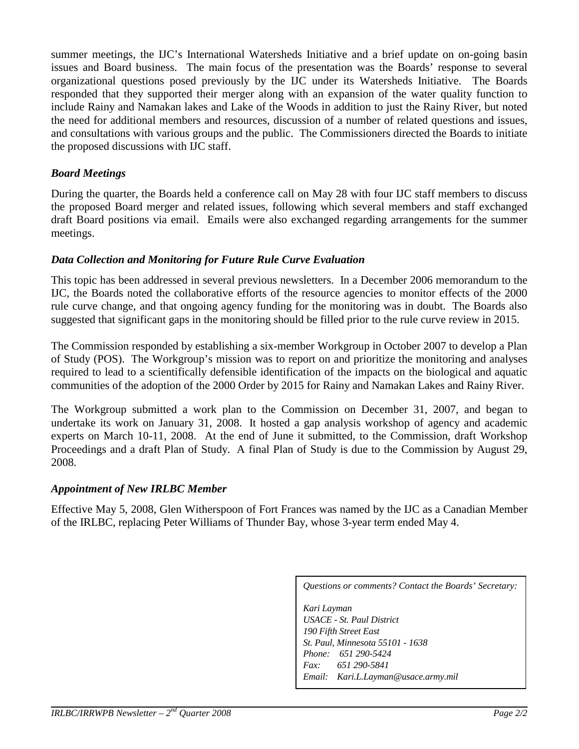summer meetings, the IJC's International Watersheds Initiative and a brief update on on-going basin issues and Board business. The main focus of the presentation was the Boards' response to several organizational questions posed previously by the IJC under its Watersheds Initiative. The Boards responded that they supported their merger along with an expansion of the water quality function to include Rainy and Namakan lakes and Lake of the Woods in addition to just the Rainy River, but noted the need for additional members and resources, discussion of a number of related questions and issues, and consultations with various groups and the public. The Commissioners directed the Boards to initiate the proposed discussions with IJC staff.

#### *Board Meetings*

During the quarter, the Boards held a conference call on May 28 with four IJC staff members to discuss the proposed Board merger and related issues, following which several members and staff exchanged draft Board positions via email. Emails were also exchanged regarding arrangements for the summer meetings.

#### *Data Collection and Monitoring for Future Rule Curve Evaluation*

This topic has been addressed in several previous newsletters. In a December 2006 memorandum to the IJC, the Boards noted the collaborative efforts of the resource agencies to monitor effects of the 2000 rule curve change, and that ongoing agency funding for the monitoring was in doubt. The Boards also suggested that significant gaps in the monitoring should be filled prior to the rule curve review in 2015.

The Commission responded by establishing a six-member Workgroup in October 2007 to develop a Plan of Study (POS). The Workgroup's mission was to report on and prioritize the monitoring and analyses required to lead to a scientifically defensible identification of the impacts on the biological and aquatic communities of the adoption of the 2000 Order by 2015 for Rainy and Namakan Lakes and Rainy River.

The Workgroup submitted a work plan to the Commission on December 31, 2007, and began to undertake its work on January 31, 2008. It hosted a gap analysis workshop of agency and academic experts on March 10-11, 2008. At the end of June it submitted, to the Commission, draft Workshop Proceedings and a draft Plan of Study. A final Plan of Study is due to the Commission by August 29, 2008.

#### *Appointment of New IRLBC Member*

Effective May 5, 2008, Glen Witherspoon of Fort Frances was named by the IJC as a Canadian Member of the IRLBC, replacing Peter Williams of Thunder Bay, whose 3-year term ended May 4.

*Questions or comments? Contact the Boards' Secretary:* 

*Kari Layman USACE - St. Paul District 190 Fifth Street East St. Paul, Minnesota 55101 - 1638 Phone: 651 290-5424 Fax: 651 290-5841 Email: Kari.L.Layman@usace.army.mil*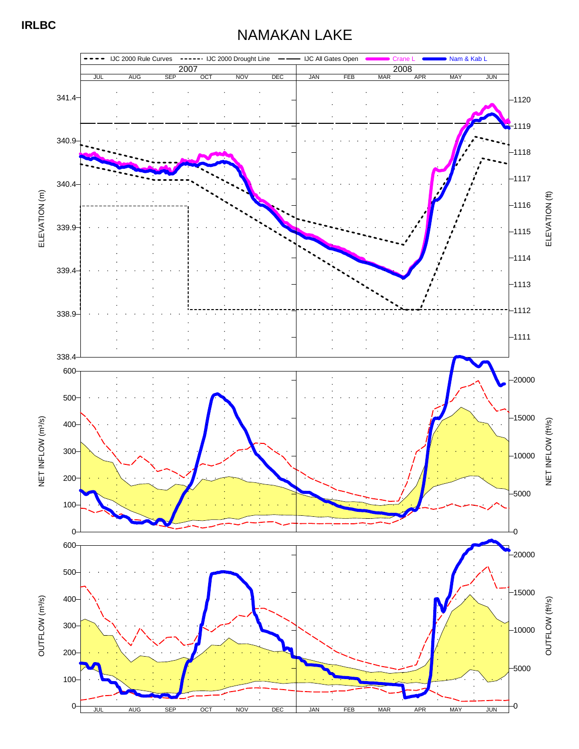## NAMAKAN LAKE